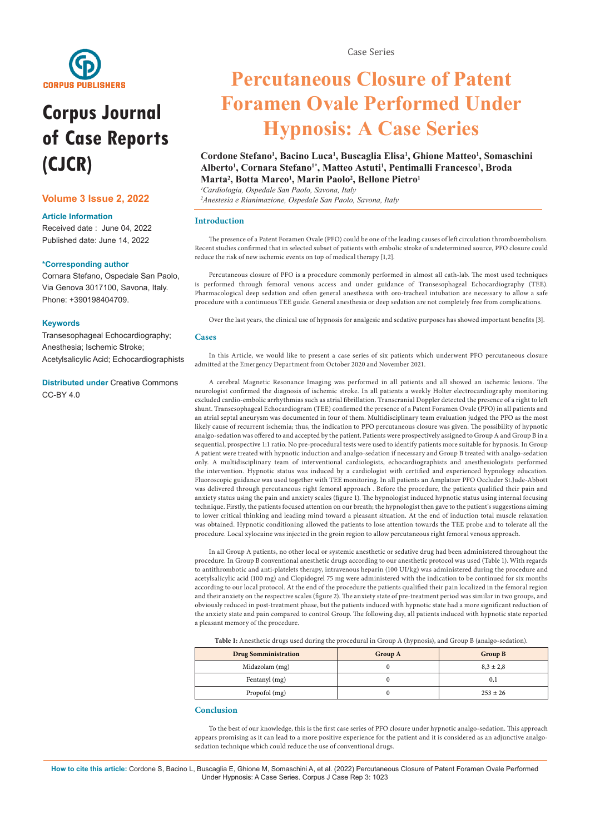

# **Corpus Journal of Case Reports (CJCR)**

## **Volume 3 Issue 2, 2022**

#### **Article Information**

Received date : June 04, 2022 Published date: June 14, 2022

#### **\*Corresponding author**

Cornara Stefano, Ospedale San Paolo, Via Genova 3017100, Savona, Italy. Phone: +390198404709.

#### **Keywords**

Transesophageal Echocardiography; Anesthesia; Ischemic Stroke; Acetylsalicylic Acid; Echocardiographists

**Distributed under** [Creative Commons](https://creativecommons.org/licenses/by/4.0/)   $C.C-BY 4.0$ 

Case Series

## **Percutaneous Closure of Patent Foramen Ovale Performed Under Hypnosis: A Case Series**

### **Cordone Stefano1 , Bacino Luca1 , Buscaglia Elisa1 , Ghione Matteo1 , Somaschini Alberto1 , Cornara Stefano1\*, Matteo Astuti1 , Pentimalli Francesco1 , Broda Marta2 , Botta Marco1 , Marin Paolo2 , Bellone Pietro1**

*1 Cardiologia, Ospedale San Paolo, Savona, Italy 2 Anestesia e Rianimazione, Ospedale San Paolo, Savona, Italy*

#### **Introduction**

The presence of a Patent Foramen Ovale (PFO) could be one of the leading causes of left circulation thromboembolism. Recent studies confirmed that in selected subset of patients with embolic stroke of undetermined source, PFO closure could reduce the risk of new ischemic events on top of medical therapy [1,2].

Percutaneous closure of PFO is a procedure commonly performed in almost all cath-lab. The most used techniques is performed through femoral venous access and under guidance of Transesophageal Echocardiography (TEE). Pharmacological deep sedation and often general anesthesia with oro-tracheal intubation are necessary to allow a safe procedure with a continuous TEE guide. General anesthesia or deep sedation are not completely free from complications.

Over the last years, the clinical use of hypnosis for analgesic and sedative purposes has showed important benefits [3].

#### **Cases**

In this Article, we would like to present a case series of six patients which underwent PFO percutaneous closure admitted at the Emergency Department from October 2020 and November 2021.

A cerebral Magnetic Resonance Imaging was performed in all patients and all showed an ischemic lesions. The neurologist confirmed the diagnosis of ischemic stroke. In all patients a weekly Holter electrocardiography monitoring excluded cardio-embolic arrhythmias such as atrial fibrillation. Transcranial Doppler detected the presence of a right to left shunt. Transesophageal Echocardiogram (TEE) confirmed the presence of a Patent Foramen Ovale (PFO) in all patients and an atrial septal aneurysm was documented in four of them. Multidisciplinary team evaluation judged the PFO as the most likely cause of recurrent ischemia; thus, the indication to PFO percutaneous closure was given. The possibility of hypnotic analgo-sedation was offered to and accepted by the patient. Patients were prospectively assigned to Group A and Group B in a sequential, prospective 1:1 ratio. No pre-procedural tests were used to identify patients more suitable for hypnosis. In Group A patient were treated with hypnotic induction and analgo-sedation if necessary and Group B treated with analgo-sedation only. A multidisciplinary team of interventional cardiologists, echocardiographists and anesthesiologists performed the intervention. Hypnotic status was induced by a cardiologist with certified and experienced hypnology education. Fluoroscopic guidance was used together with TEE monitoring. In all patients an Amplatzer PFO Occluder St.Jude-Abbott was delivered through percutaneous right femoral approach . Before the procedure, the patients qualified their pain and anxiety status using the pain and anxiety scales (figure 1). The hypnologist induced hypnotic status using internal focusing technique. Firstly, the patients focused attention on our breath; the hypnologist then gave to the patient's suggestions aiming to lower critical thinking and leading mind toward a pleasant situation. At the end of induction total muscle relaxation was obtained. Hypnotic conditioning allowed the patients to lose attention towards the TEE probe and to tolerate all the procedure. Local xylocaine was injected in the groin region to allow percutaneous right femoral venous approach.

In all Group A patients, no other local or systemic anesthetic or sedative drug had been administered throughout the procedure. In Group B conventional anesthetic drugs according to our anesthetic protocol was used (Table 1). With regards to antithrombotic and anti-platelets therapy, intravenous heparin (100 UI/kg) was administered during the procedure and acetylsalicylic acid (100 mg) and Clopidogrel 75 mg were administered with the indication to be continued for six months according to our local protocol. At the end of the procedure the patients qualified their pain localized in the femoral region and their anxiety on the respective scales (figure 2). The anxiety state of pre-treatment period was similar in two groups, and obviously reduced in post-treatment phase, but the patients induced with hypnotic state had a more significant reduction of the anxiety state and pain compared to control Group. The following day, all patients induced with hypnotic state reported a pleasant memory of the procedure.

**Table 1:** Anesthetic drugs used during the procedural in Group A (hypnosis), and Group B (analgo-sedation).

| <b>Drug Somministration</b> | <b>Group A</b> | Group B       |
|-----------------------------|----------------|---------------|
| Midazolam (mg)              |                | $8,3 \pm 2,8$ |
| Fentanyl (mg)               |                | 0,1           |
| Propofol (mg)               |                | $253 \pm 26$  |

#### **Conclusion**

To the best of our knowledge, this is the first case series of PFO closure under hypnotic analgo-sedation. This approach appears promising as it can lead to a more positive experience for the patient and it is considered as an adjunctive analgosedation technique which could reduce the use of conventional drugs.

**How to cite this article:** Cordone S, Bacino L, Buscaglia E, Ghione M, Somaschini A, et al. (2022) Percutaneous Closure of Patent Foramen Ovale Performed Under Hypnosis: A Case Series. Corpus J Case Rep 3: 1023